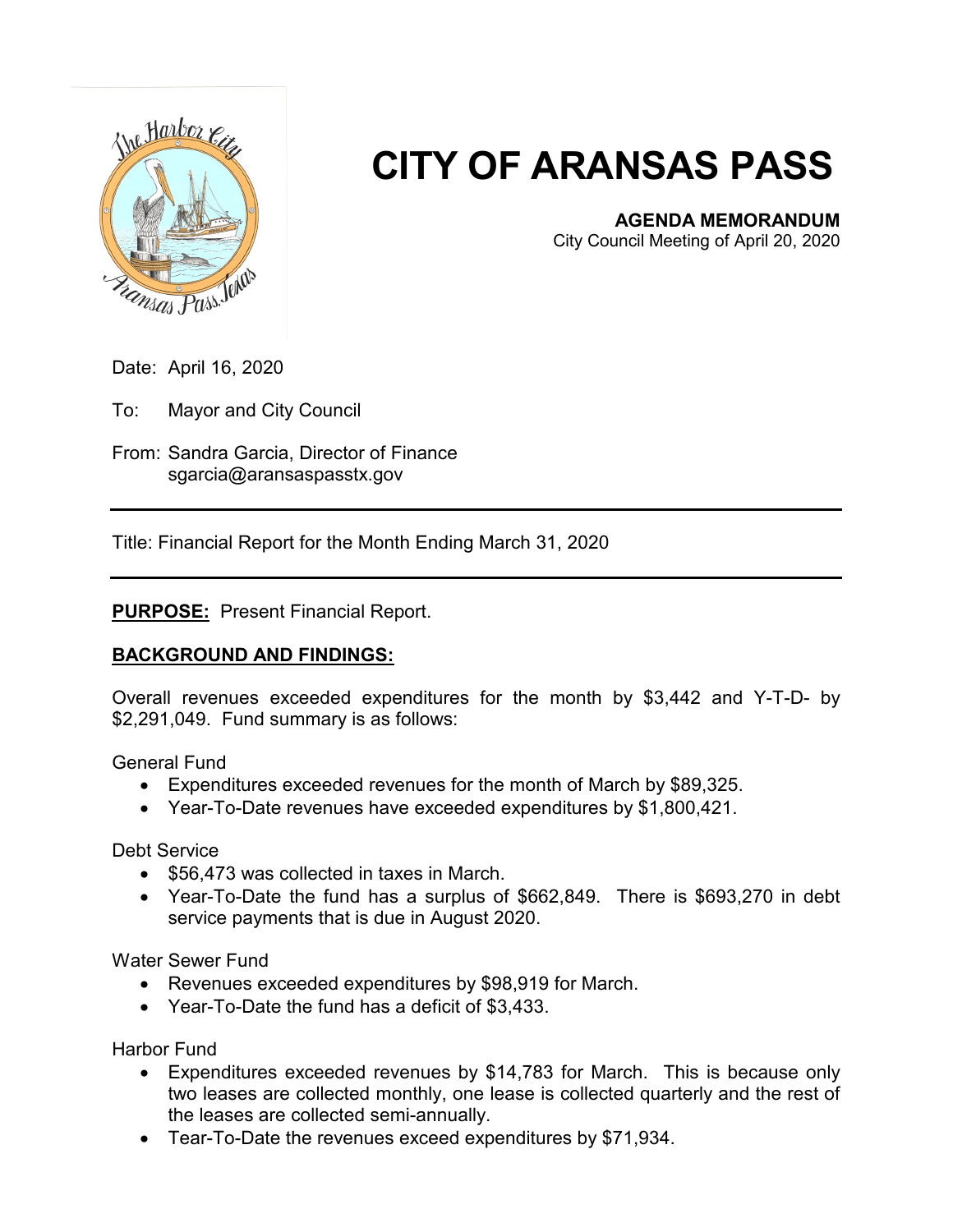

# **CITY OF ARANSAS PASS**

## **AGENDA MEMORANDUM**

City Council Meeting of April 20, 2020

Date: April 16, 2020

To: Mayor and City Council

From: Sandra Garcia, Director of Finance sgarcia@aransaspasstx.gov

Title: Financial Report for the Month Ending March 31, 2020

#### **PURPOSE:** Present Financial Report.

### **BACKGROUND AND FINDINGS:**

Overall revenues exceeded expenditures for the month by \$3,442 and Y-T-D- by \$2,291,049. Fund summary is as follows:

General Fund

- Expenditures exceeded revenues for the month of March by \$89,325.
- Year-To-Date revenues have exceeded expenditures by \$1,800,421.

Debt Service

- \$56,473 was collected in taxes in March.
- Year-To-Date the fund has a surplus of \$662,849. There is \$693,270 in debt service payments that is due in August 2020.

Water Sewer Fund

- Revenues exceeded expenditures by \$98,919 for March.
- Year-To-Date the fund has a deficit of \$3,433.

Harbor Fund

- Expenditures exceeded revenues by \$14,783 for March. This is because only two leases are collected monthly, one lease is collected quarterly and the rest of the leases are collected semi-annually.
- Tear-To-Date the revenues exceed expenditures by \$71,934.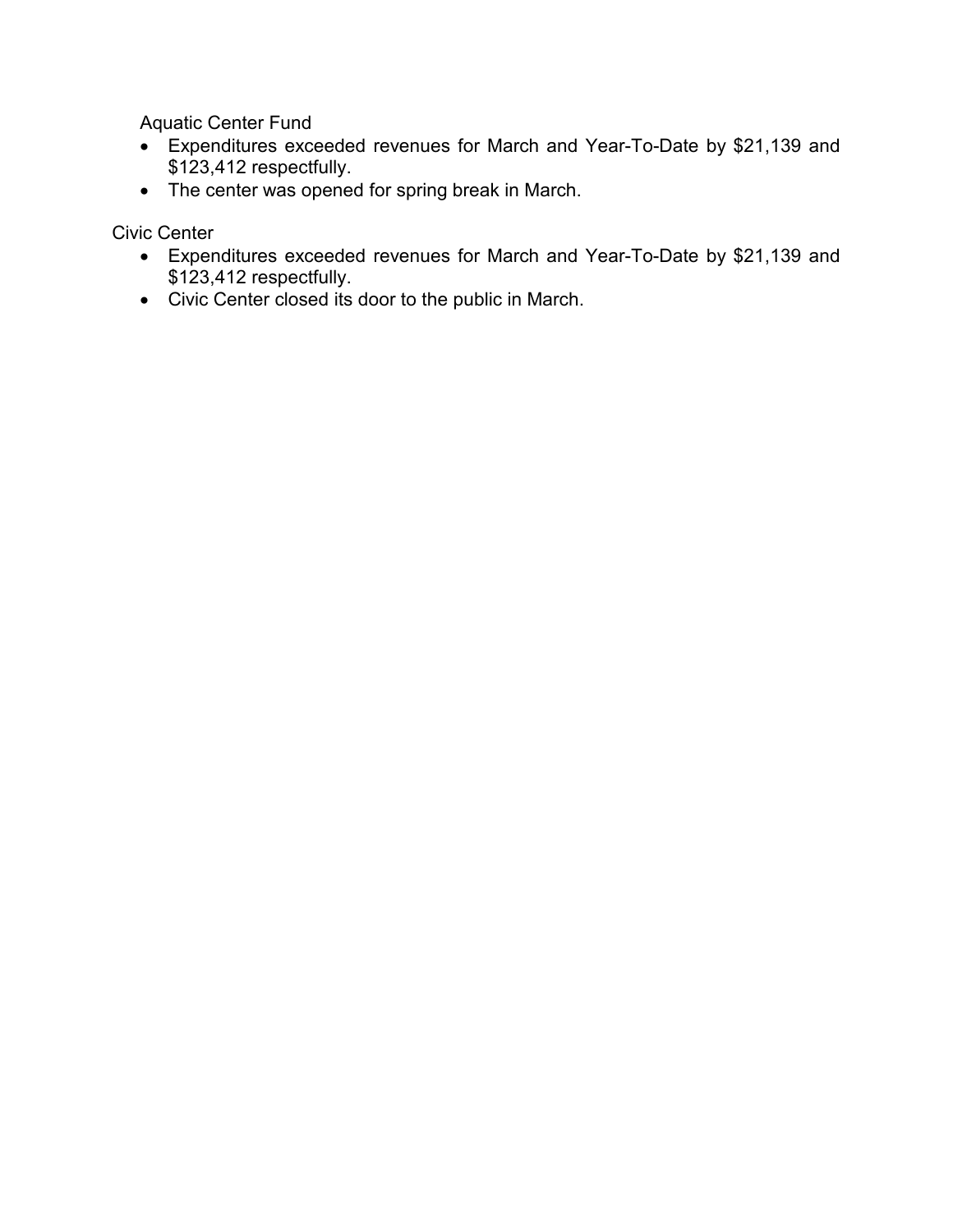Aquatic Center Fund

- Expenditures exceeded revenues for March and Year-To-Date by \$21,139 and \$123,412 respectfully.
- The center was opened for spring break in March.

Civic Center

- Expenditures exceeded revenues for March and Year-To-Date by \$21,139 and \$123,412 respectfully.
- Civic Center closed its door to the public in March.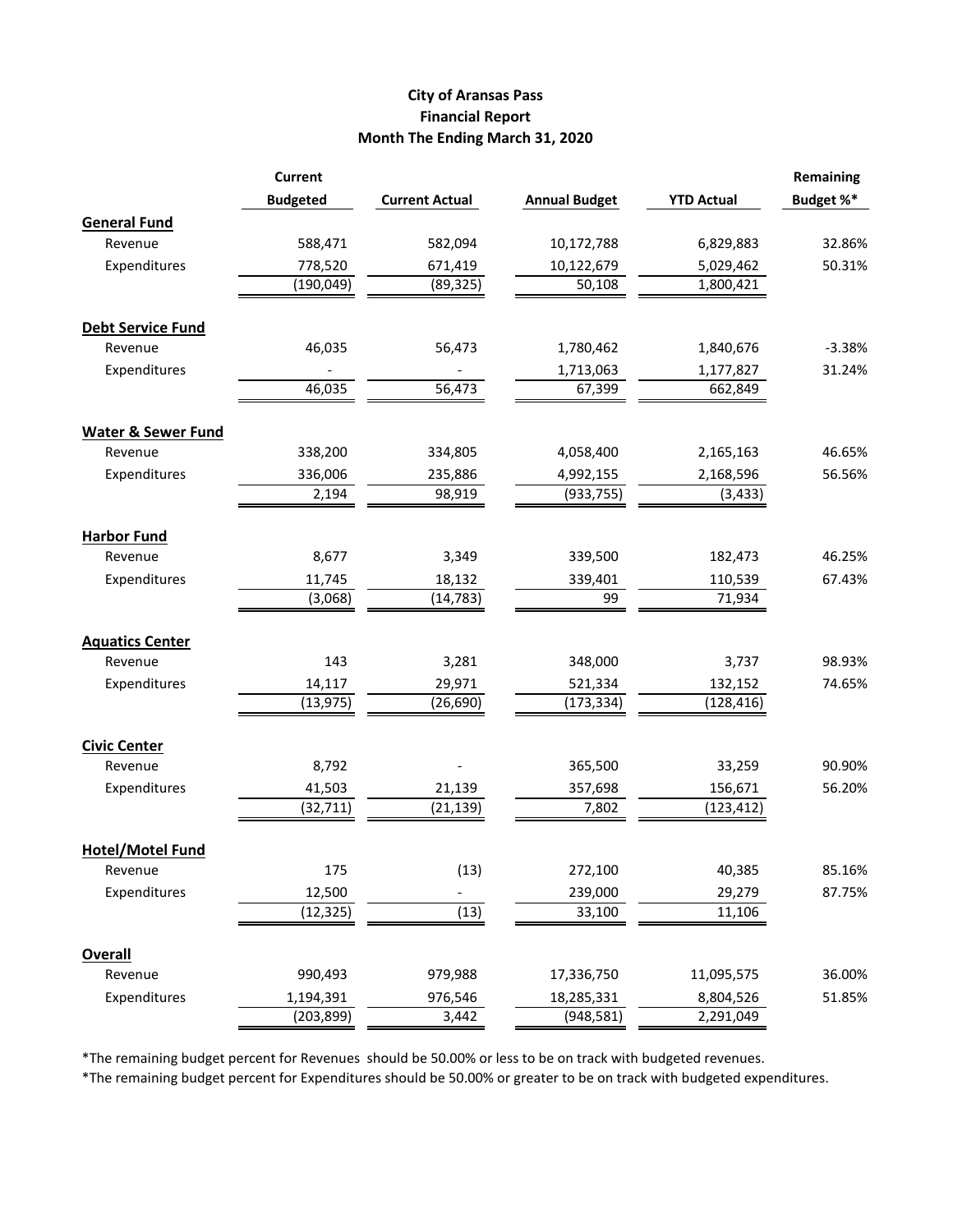#### **City of Aransas Pass Financial Report Month The Ending March 31, 2020**

|                               | <b>Current</b>          | <b>Current Actual</b> | <b>Annual Budget</b>     | <b>YTD Actual</b>      | Remaining<br>Budget %* |
|-------------------------------|-------------------------|-----------------------|--------------------------|------------------------|------------------------|
|                               | <b>Budgeted</b>         |                       |                          |                        |                        |
| <b>General Fund</b>           |                         |                       |                          |                        |                        |
| Revenue                       | 588,471                 | 582,094               | 10,172,788               | 6,829,883              | 32.86%                 |
| Expenditures                  | 778,520                 | 671,419               | 10,122,679               | 5,029,462              | 50.31%                 |
|                               | (190, 049)              | (89, 325)             | 50,108                   | 1,800,421              |                        |
|                               |                         |                       |                          |                        |                        |
| <b>Debt Service Fund</b>      | 46,035                  |                       |                          |                        |                        |
| Revenue                       |                         | 56,473                | 1,780,462                | 1,840,676              | $-3.38%$               |
| Expenditures                  |                         |                       | 1,713,063                | 1,177,827              | 31.24%                 |
|                               | 46,035                  | 56,473                | 67,399                   | 662,849                |                        |
| <b>Water &amp; Sewer Fund</b> |                         |                       |                          |                        |                        |
| Revenue                       | 338,200                 | 334,805               | 4,058,400                | 2,165,163              | 46.65%                 |
| Expenditures                  | 336,006                 | 235,886               | 4,992,155                | 2,168,596              | 56.56%                 |
|                               | 2,194                   | 98,919                | (933, 755)               | (3, 433)               |                        |
| <b>Harbor Fund</b>            |                         |                       |                          |                        |                        |
| Revenue                       | 8,677                   | 3,349                 | 339,500                  | 182,473                | 46.25%                 |
| Expenditures                  | 11,745                  | 18,132                | 339,401                  | 110,539                | 67.43%                 |
|                               | (3,068)                 | (14, 783)             | 99                       | 71,934                 |                        |
|                               |                         |                       |                          |                        |                        |
| <b>Aquatics Center</b>        |                         |                       |                          |                        |                        |
| Revenue<br>Expenditures       | 143                     | 3,281                 | 348,000                  | 3,737                  | 98.93%                 |
|                               | 14,117                  | 29,971                | 521,334                  | 132,152                | 74.65%                 |
|                               | (13, 975)               | (26, 690)             | (173, 334)               | (128, 416)             |                        |
| <b>Civic Center</b>           |                         |                       |                          |                        |                        |
| Revenue                       | 8,792                   |                       | 365,500                  | 33,259                 | 90.90%                 |
| Expenditures                  | 41,503                  | 21,139                | 357,698                  | 156,671                | 56.20%                 |
|                               | (32, 711)               | (21, 139)             | 7,802                    | (123, 412)             |                        |
| <b>Hotel/Motel Fund</b>       |                         |                       |                          |                        |                        |
| Revenue                       | 175                     | (13)                  | 272,100                  | 40,385                 | 85.16%                 |
| Expenditures                  | 12,500                  |                       | 239,000                  | 29,279                 | 87.75%                 |
|                               | (12, 325)               | (13)                  | 33,100                   | 11,106                 |                        |
|                               |                         |                       |                          |                        |                        |
| <b>Overall</b>                |                         |                       | 17,336,750               |                        | 36.00%                 |
| Revenue                       | 990,493                 | 979,988               |                          | 11,095,575             |                        |
| Expenditures                  | 1,194,391<br>(203, 899) | 976,546<br>3,442      | 18,285,331<br>(948, 581) | 8,804,526<br>2,291,049 | 51.85%                 |
|                               |                         |                       |                          |                        |                        |

\*The remaining budget percent for Revenues should be 50.00% or less to be on track with budgeted revenues.

\*The remaining budget percent for Expenditures should be 50.00% or greater to be on track with budgeted expenditures.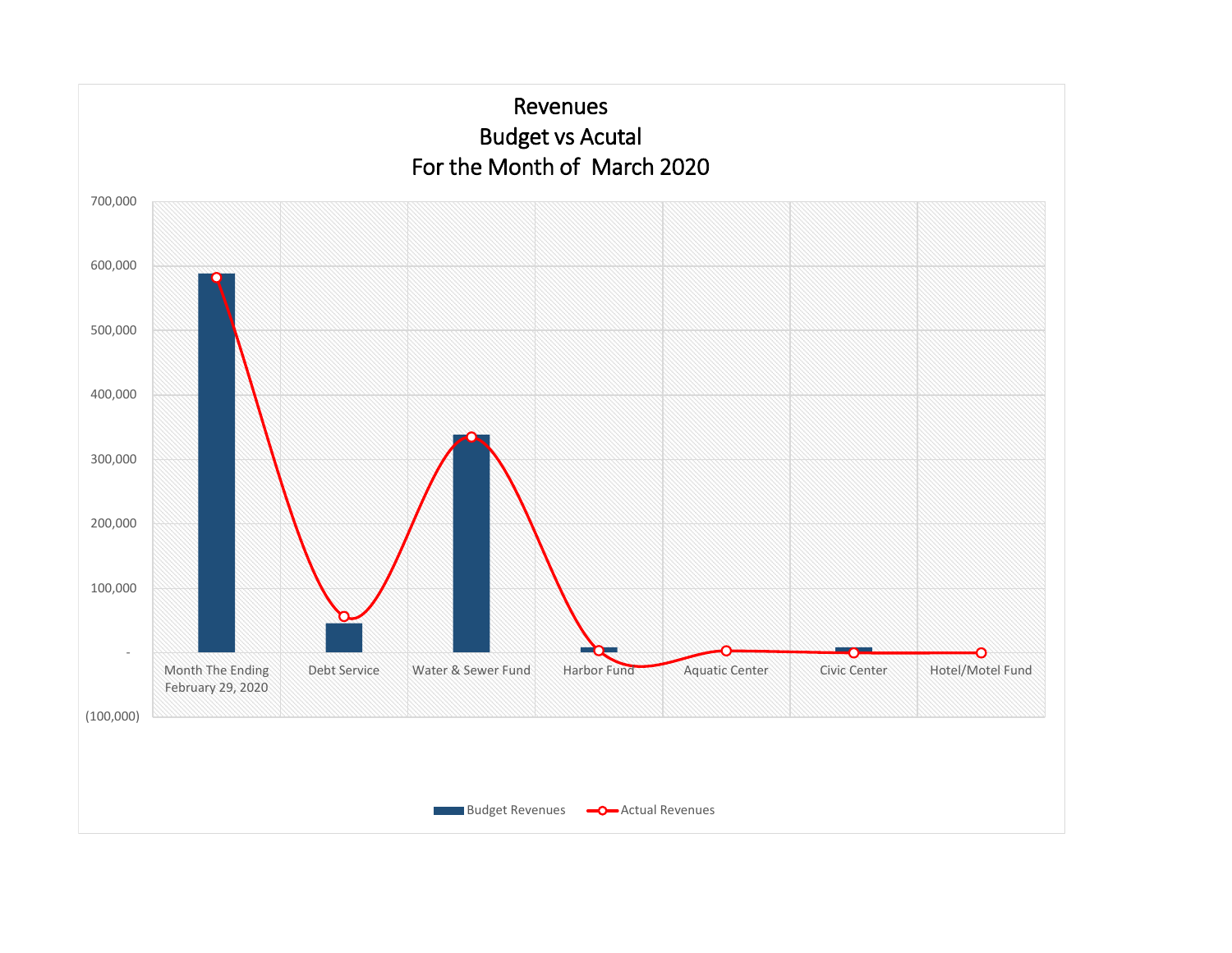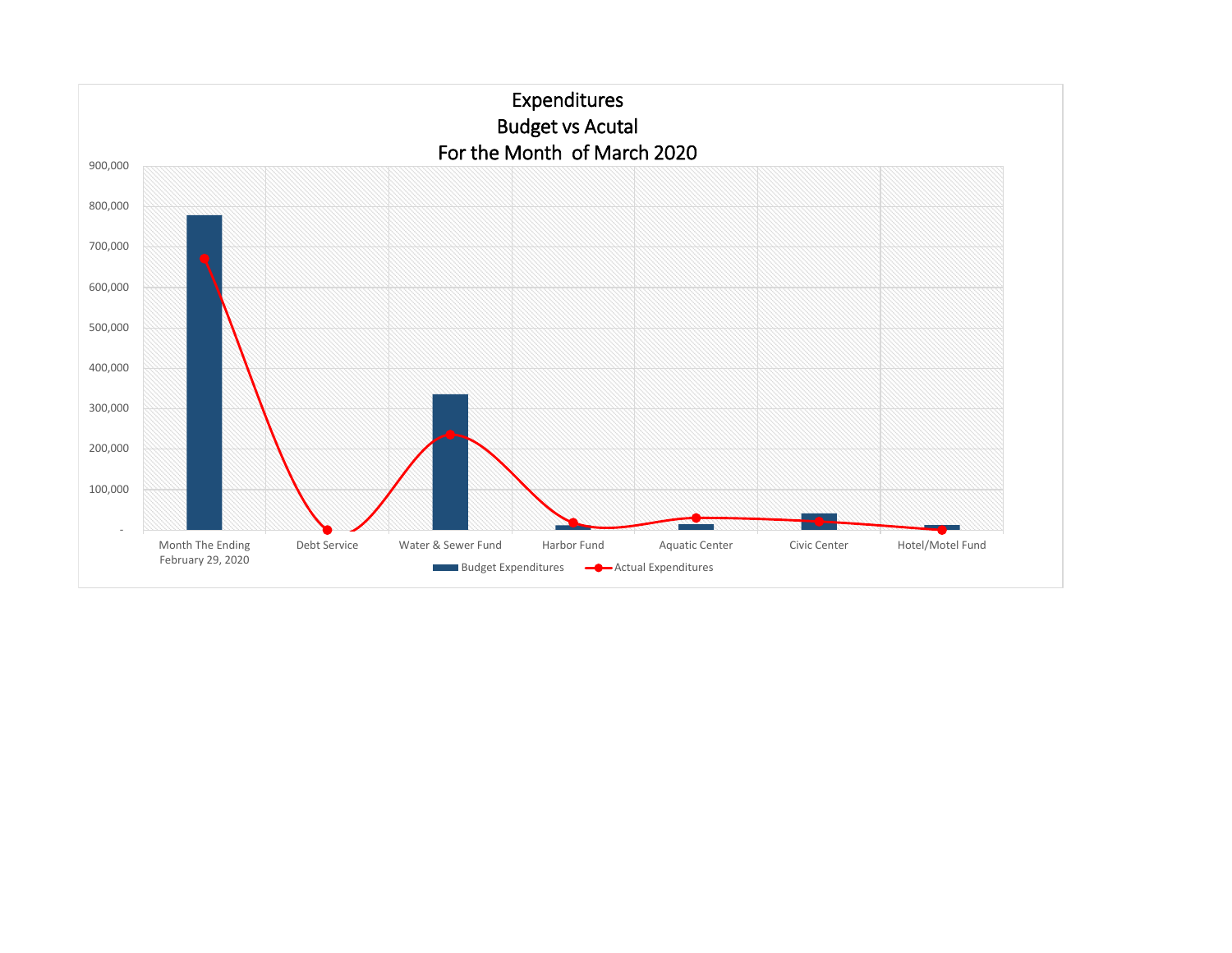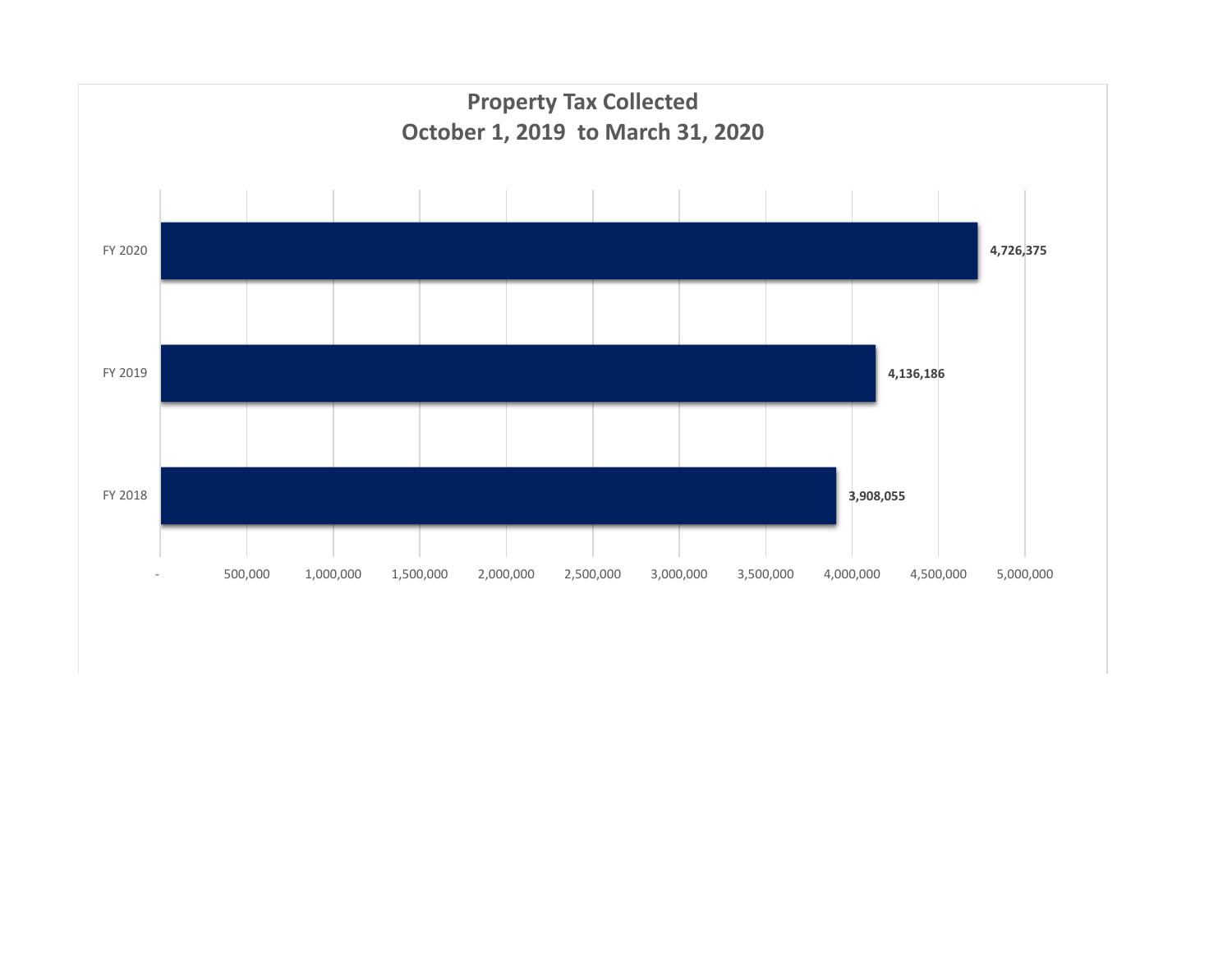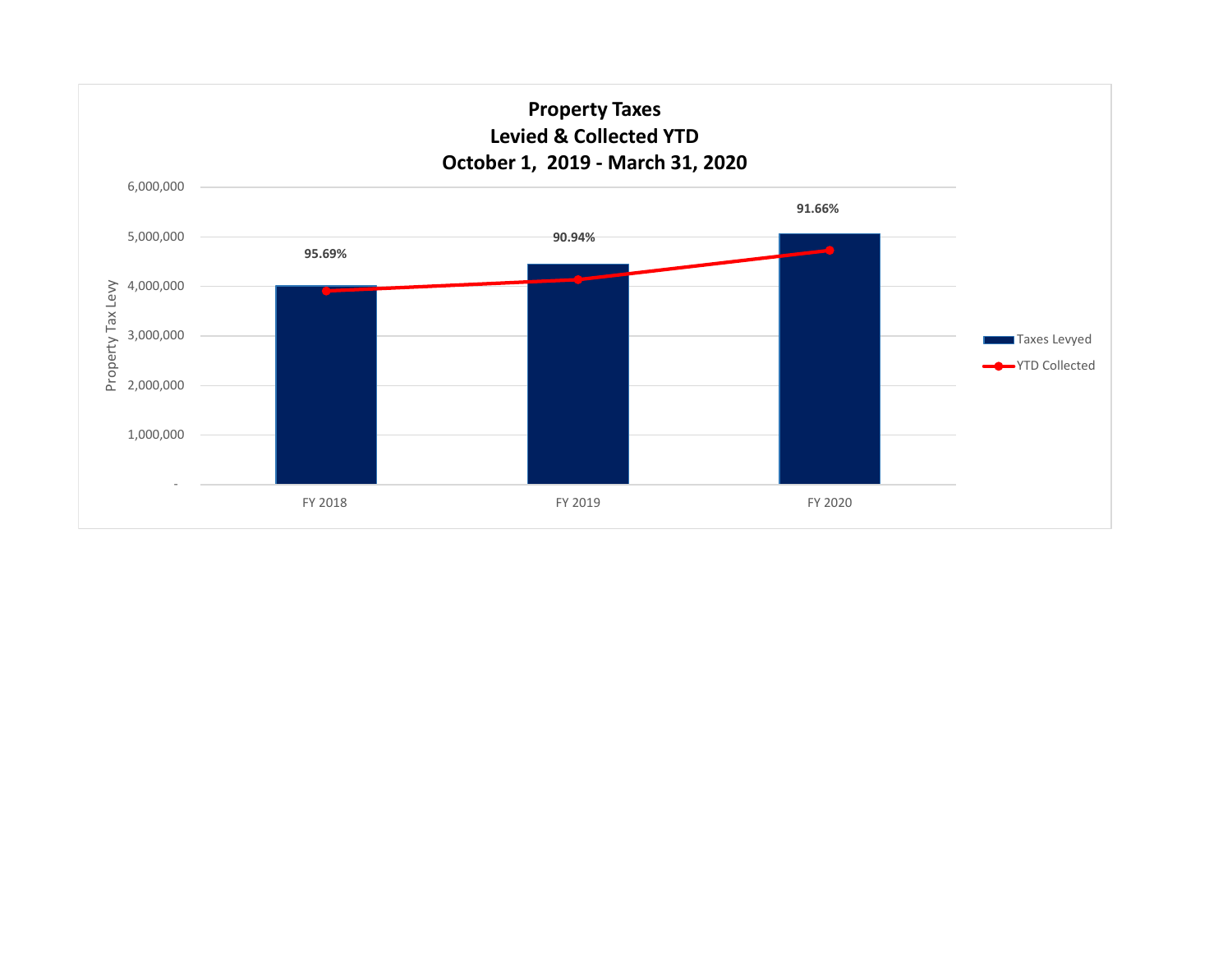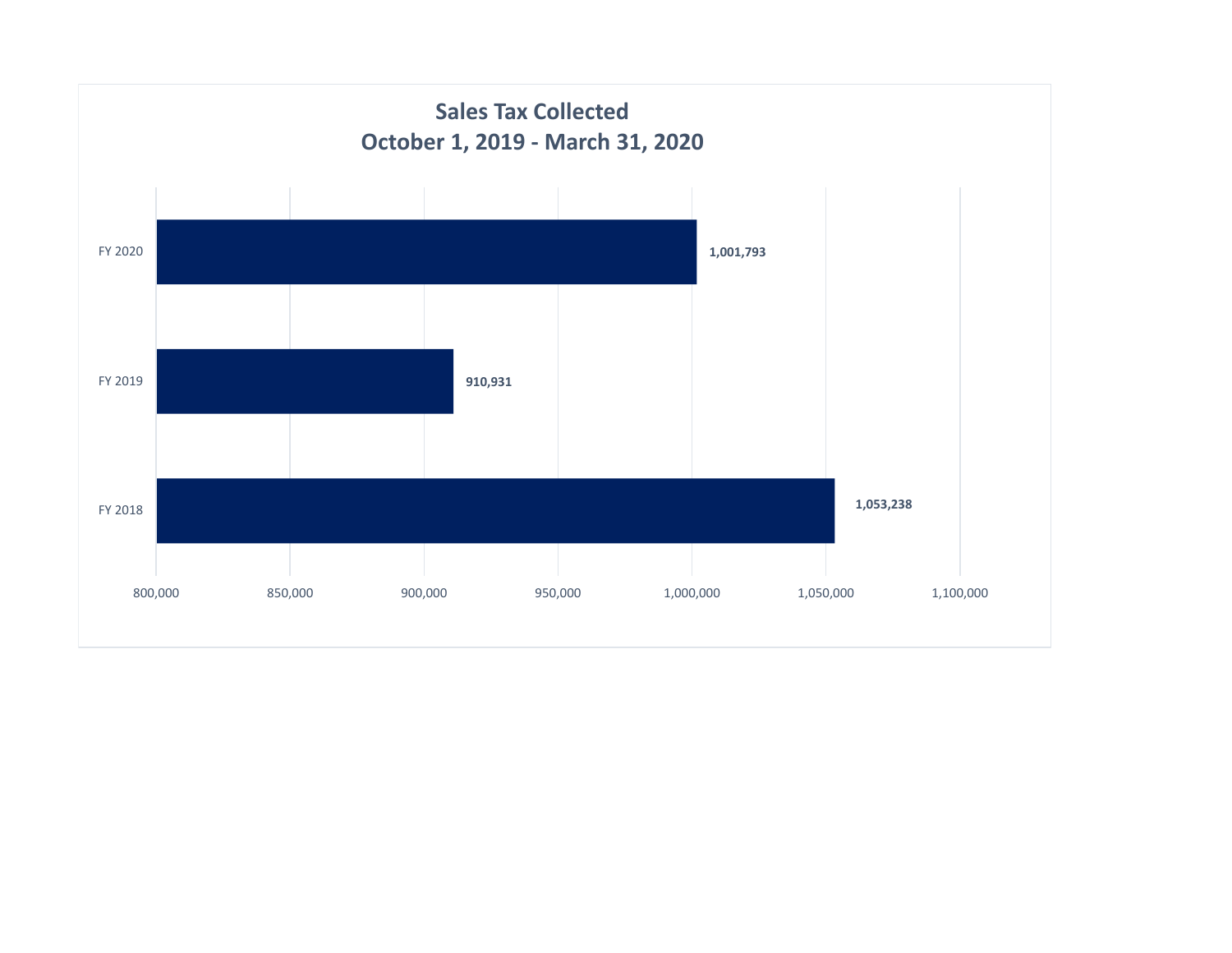